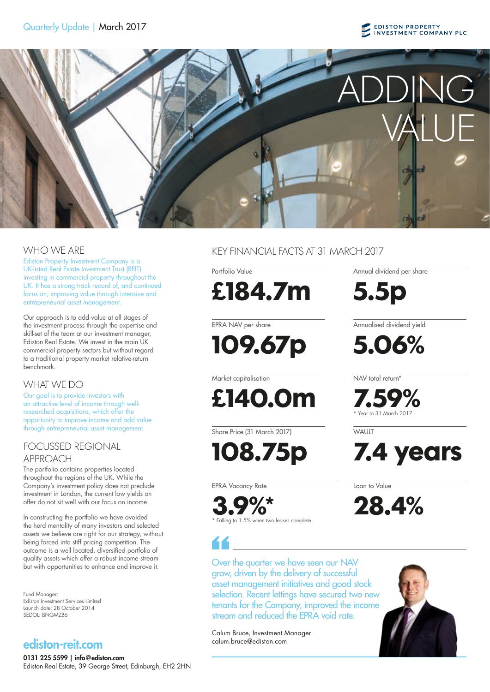# **EDISTON PROPERTY**<br>INVESTMENT COMPANY PLC



Ediston Property Investment Company is a UK-listed Real Estate Investment Trust (REIT) investing in commercial property throughout the UK. It has a strong track record of, and continued focus on, improving value through intensive and entrepreneurial asset management.

Our approach is to add value at all stages of the investment process through the expertise and skill-set of the team at our investment manager, Ediston Real Estate. We invest in the main UK commercial property sectors but without regard to a traditional property market relative-return benchmark.

## WHAT WE DO

Our goal is to provide investors with an attractive level of income through wellresearched acquisitions, which offer the opportunity to improve income and add value through entrepreneurial asset management.

# FOCUSSED REGIONAL APPROACH

The portfolio contains properties located throughout the regions of the UK. While the Company's investment policy does not preclude investment in London, the current low yields on offer do not sit well with our focus on income.

In constructing the portfolio we have avoided the herd mentality of many investors and selected assets we believe are right for our strategy, without being forced into stiff pricing competition. The outcome is a well located, diversified portfolio of quality assets which offer a robust income stream but with opportunities to enhance and improve it.

Fund Manager: Ediston Investment Services Limited Launch date: 28 October 2014 SEDOL: BNGMZB6

# ediston-reit.com

0131 225 5599 | info@ediston.com Ediston Real Estate, 39 George Street, Edinburgh, EH2 2HN

WHO WE ARE THE KEY FINANCIAL FACTS AT 31 MARCH 2017

Portfolio Value

**£184.7m**

EPRA NAV per share

**109.67p**

Market capitalisation

**£140.0m**

Share Price (31 March 2017)

**108.75p**

EPRA Vacancy Rate

**3.9%\*** \* Falling to 1.5% when two leases complete. Annual dividend per share

**5.5p**

Annualised dividend yield

**5.06%**

NAV total return\*

**7.59%** \* Year to 31 March 2017

**WALIIT** 



Loan to Value





Over the quarter we have seen our NAV grow, driven by the delivery of successful asset management initiatives and good stock selection. Recent lettings have secured two new tenants for the Company, improved the income stream and reduced the EPRA void rate.

Calum Bruce, Investment Manager calum.bruce@ediston.com